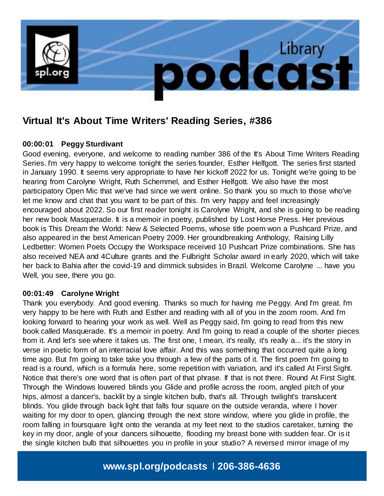

# **Virtual It's About Time Writers' Reading Series, #386**

## **00:00:01 Peggy Sturdivant**

Good evening, everyone, and welcome to reading number 386 of the It's About Time Writers Reading Series. I'm very happy to welcome tonight the series founder, Esther Helfgott. The series first started in January 1990. It seems very appropriate to have her kickoff 2022 for us. Tonight we're going to be hearing from Carolyne Wright, Ruth Schemmel, and Esther Helfgott. We also have the most participatory Open Mic that we've had since we went online. So thank you so much to those who've let me know and chat that you want to be part of this. I'm very happy and feel increasingly encouraged about 2022. So our first reader tonight is Carolyne Wright, and she is going to be reading her new book Masquerade. It is a memoir in poetry, published by Lost Horse Press. Her previous book is This Dream the World: New & Selected Poems, whose title poem won a Pushcard Prize, and also appeared in the best American Poetry 2009. Her groundbreaking Anthology, Raising Lilly Ledbetter: Women Poets Occupy the Workspace received 10 Pushcart Prize combinations. She has also received NEA and 4Culture grants and the Fulbright Scholar award in early 2020, which will take her back to Bahia after the covid-19 and dimmick subsides in Brazil. Welcome Carolyne ... have you Well, you see, there you go.

## **00:01:49 Carolyne Wright**

Thank you everybody. And good evening. Thanks so much for having me Peggy. And I'm great. I'm very happy to be here with Ruth and Esther and reading with all of you in the zoom room. And I'm looking forward to hearing your work as well. Well as Peggy said, I'm going to read from this new book called Masquerade. It's a memoir in poetry. And I'm going to read a couple of the shorter pieces from it. And let's see where it takes us. The first one, I mean, it's really, it's really a... it's the story in verse in poetic form of an interracial love affair. And this was something that occurred quite a long time ago. But I'm going to take take you through a few of the parts of it. The first poem I'm going to read is a round, which is a formula here, some repetition with variation, and it's called At First Sight. Notice that there's one word that is often part of that phrase. If that is not there. Round At First Sight. Through the Windows louvered blinds you Glide and profile across the room, angled pitch of your hips, almost a dancer's, backlit by a single kitchen bulb, that's all. Through twilight's translucent blinds. You glide through back light that falls four square on the outside veranda, where I hover waiting for my door to open, glancing through the next store window, where you glide in profile, the room falling in foursquare light onto the veranda at my feet next to the studios caretaker, turning the key in my door, angle of your dancers silhouette, flooding my breast bone with sudden fear. Or is it the single kitchen bulb that silhouettes you in profile in your studio? A reversed mirror image of my

# **www.spl.org/podcasts** l **206-386-4636**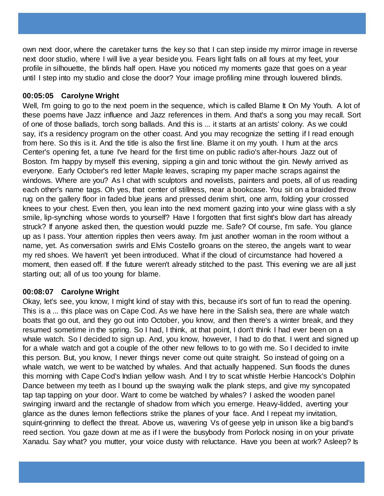own next door, where the caretaker turns the key so that I can step inside my mirror image in reverse next door studio, where I will live a year beside you. Fears light falls on all fours at my feet, your profile in silhouette, the blinds half open. Have you noticed my moments gaze that goes on a year until I step into my studio and close the door? Your image profiling mine through louvered blinds.

## **00:05:05 Carolyne Wright**

Well, I'm going to go to the next poem in the sequence, which is called Blame It On My Youth. A lot of these poems have Jazz influence and Jazz references in them. And that's a song you may recall. Sort of one of those ballads, torch song ballads. And this is ... it starts at an artists' colony. As we could say, it's a residency program on the other coast. And you may recognize the setting if I read enough from here. So this is it. And the title is also the first line. Blame it on my youth. I hum at the arcs Center's opening fet, a tune I've heard for the first time on public radio's after-hours Jazz out of Boston. I'm happy by myself this evening, sipping a gin and tonic without the gin. Newly arrived as everyone. Early October's red letter Maple leaves, scraping my paper mache scraps against the windows. Where are you? As I chat with sculptors and novelists, painters and poets, all of us reading each other's name tags. Oh yes, that center of stillness, near a bookcase. You sit on a braided throw rug on the gallery floor in faded blue jeans and pressed denim shirt, one arm, folding your crossed knees to your chest. Even then, you lean into the next moment gazing into your wine glass with a sly smile, lip-synching whose words to yourself? Have I forgotten that first sight's blow dart has already struck? If anyone asked then, the question would puzzle me. Safe? Of course, I'm safe. You glance up as I pass. Your attention ripples then veers away. I'm just another woman in the room without a name, yet. As conversation swirls and Elvis Costello groans on the stereo, the angels want to wear my red shoes. We haven't yet been introduced. What if the cloud of circumstance had hovered a moment, then eased off. If the future weren't already stitched to the past. This evening we are all just starting out; all of us too young for blame.

# **00:08:07 Carolyne Wright**

Okay, let's see, you know, I might kind of stay with this, because it's sort of fun to read the opening. This is a ... this place was on Cape Cod. As we have here in the Salish sea, there are whale watch boats that go out, and they go out into October, you know, and then there's a winter break, and they resumed sometime in the spring. So I had, I think, at that point, I don't think I had ever been on a whale watch. So I decided to sign up. And, you know, however, I had to do that. I went and signed up for a whale watch and got a couple of the other new fellows to to go with me. So I decided to invite this person. But, you know, I never things never come out quite straight. So instead of going on a whale watch, we went to be watched by whales. And that actually happened. Sun floods the dunes this morning with Cape Cod's Indian yellow wash. And I try to scat whistle Herbie Hancock's Dolphin Dance between my teeth as I bound up the swaying walk the plank steps, and give my syncopated tap tap tapping on your door. Want to come be watched by whales? I asked the wooden panel swinging inward and the rectangle of shadow from which you emerge. Heavy-lidded, averting your glance as the dunes lemon feflections strike the planes of your face. And I repeat my invitation, squint-grinning to deflect the threat. Above us, wavering Vs of geese yelp in unison like a big band's reed section. You gaze down at me as if I were the busybody from Porlock nosing in on your private Xanadu. Say what? you mutter, your voice dusty with reluctance. Have you been at work? Asleep? Is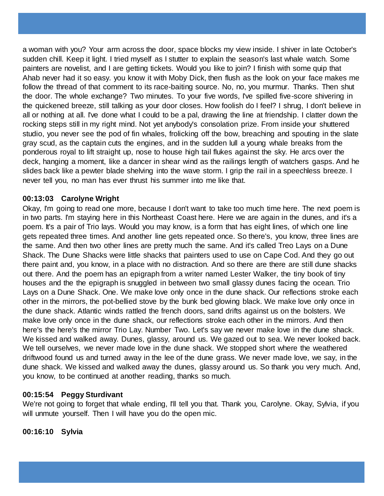a woman with you? Your arm across the door, space blocks my view inside. I shiver in late October's sudden chill. Keep it light. I tried myself as I stutter to explain the season's last whale watch. Some painters are novelist, and I are getting tickets. Would you like to join? I finish with some quip that Ahab never had it so easy. you know it with Moby Dick, then flush as the look on your face makes me follow the thread of that comment to its race-baiting source. No, no, you murmur. Thanks. Then shut the door. The whole exchange? Two minutes. To your five words, I've spilled five-score shivering in the quickened breeze, still talking as your door closes. How foolish do I feel? I shrug, I don't believe in all or nothing at all. I've done what I could to be a pal, drawing the line at friendship. I clatter down the rocking steps still in my right mind. Not yet anybody's consolation prize. From inside your shuttered studio, you never see the pod of fin whales, frolicking off the bow, breaching and spouting in the slate gray scud, as the captain cuts the engines, and in the sudden lull a young whale breaks from the ponderous royal to lift straight up, nose to house high tail flukes against the sky. He arcs over the deck, hanging a moment, like a dancer in shear wind as the railings length of watchers gasps. And he slides back like a pewter blade shelving into the wave storm. I grip the rail in a speechless breeze. I never tell you, no man has ever thrust his summer into me like that.

## **00:13:03 Carolyne Wright**

Okay, I'm going to read one more, because I don't want to take too much time here. The next poem is in two parts. I'm staying here in this Northeast Coast here. Here we are again in the dunes, and it's a poem. It's a pair of Trio lays. Would you may know, is a form that has eight lines, of which one line gets repeated three times. And another line gets repeated once. So there's, you know, three lines are the same. And then two other lines are pretty much the same. And it's called Treo Lays on a Dune Shack. The Dune Shacks were little shacks that painters used to use on Cape Cod. And they go out there paint and, you know, in a place with no distraction. And so there are there are still dune shacks out there. And the poem has an epigraph from a writer named Lester Walker, the tiny book of tiny houses and the the epigraph is snuggled in between two small glassy dunes facing the ocean. Trio Lays on a Dune Shack. One. We make love only once in the dune shack. Our reflections stroke each other in the mirrors, the pot-bellied stove by the bunk bed glowing black. We make love only once in the dune shack. Atlantic winds rattled the french doors, sand drifts against us on the bolsters. We make love only once in the dune shack, our reflections stroke each other in the mirrors. And then here's the here's the mirror Trio Lay. Number Two. Let's say we never make love in the dune shack. We kissed and walked away. Dunes, glassy, around us. We gazed out to sea. We never looked back. We tell ourselves, we never made love in the dune shack. We stopped short where the weathered driftwood found us and turned away in the lee of the dune grass. We never made love, we say, in the dune shack. We kissed and walked away the dunes, glassy around us. So thank you very much. And, you know, to be continued at another reading, thanks so much.

## **00:15:54 Peggy Sturdivant**

We're not going to forget that whale ending, I'll tell you that. Thank you, Carolyne. Okay, Sylvia, if you will unmute yourself. Then I will have you do the open mic.

**00:16:10 Sylvia**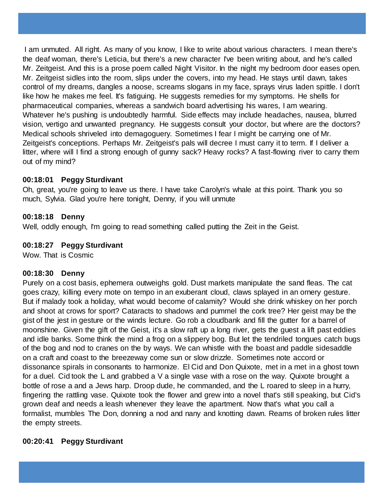I am unmuted. All right. As many of you know, I like to write about various characters. I mean there's the deaf woman, there's Leticia, but there's a new character I've been writing about, and he's called Mr. Zeitgeist. And this is a prose poem called Night Visitor. In the night my bedroom door eases open. Mr. Zeitgeist sidles into the room, slips under the covers, into my head. He stays until dawn, takes control of my dreams, dangles a noose, screams slogans in my face, sprays virus laden spittle. I don't like how he makes me feel. It's fatiguing. He suggests remedies for my symptoms. He shells for pharmaceutical companies, whereas a sandwich board advertising his wares, I am wearing. Whatever he's pushing is undoubtedly harmful. Side effects may include headaches, nausea, blurred vision, vertigo and unwanted pregnancy. He suggests consult your doctor, but where are the doctors? Medical schools shriveled into demagoguery. Sometimes I fear I might be carrying one of Mr. Zeitgeist's conceptions. Perhaps Mr. Zeitgeist's pals will decree I must carry it to term. If I deliver a litter, where will I find a strong enough of gunny sack? Heavy rocks? A fast-flowing river to carry them out of my mind?

# **00:18:01 Peggy Sturdivant**

Oh, great, you're going to leave us there. I have take Carolyn's whale at this point. Thank you so much, Sylvia. Glad you're here tonight, Denny, if you will unmute

## **00:18:18 Denny**

Well, oddly enough, I'm going to read something called putting the Zeit in the Geist.

## **00:18:27 Peggy Sturdivant**

Wow. That is Cosmic

## **00:18:30 Denny**

Purely on a cost basis, ephemera outweighs gold. Dust markets manipulate the sand fleas. The cat goes crazy, killing every mote on tempo in an exuberant cloud, claws splayed in an ornery gesture. But if malady took a holiday, what would become of calamity? Would she drink whiskey on her porch and shoot at crows for sport? Cataracts to shadows and pummel the cork tree? Her geist may be the gist of the jest in gesture or the winds lecture. Go rob a cloudbank and fill the gutter for a barrel of moonshine. Given the gift of the Geist, it's a slow raft up a long river, gets the guest a lift past eddies and idle banks. Some think the mind a frog on a slippery bog. But let the tendriled tongues catch bugs of the bog and nod to cranes on the by ways. We can whistle with the boast and paddle sidesaddle on a craft and coast to the breezeway come sun or slow drizzle. Sometimes note accord or dissonance spirals in consonants to harmonize. El Cid and Don Quixote, met in a met in a ghost town for a duel. Cid took the L and grabbed a V a single vase with a rose on the way. Quixote brought a bottle of rose a and a Jews harp. Droop dude, he commanded, and the L roared to sleep in a hurry, fingering the rattling vase. Quixote took the flower and grew into a novel that's still speaking, but Cid's grown deaf and needs a leash whenever they leave the apartment. Now that's what you call a formalist, mumbles The Don, donning a nod and nany and knotting dawn. Reams of broken rules litter the empty streets.

# **00:20:41 Peggy Sturdivant**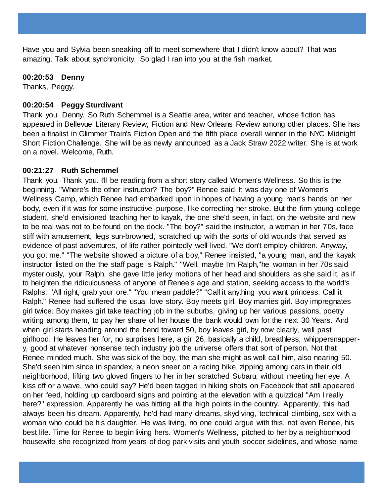Have you and Sylvia been sneaking off to meet somewhere that I didn't know about? That was amazing. Talk about synchronicity. So glad I ran into you at the fish market.

## **00:20:53 Denny**

Thanks, Peggy.

# **00:20:54 Peggy Sturdivant**

Thank you. Denny. So Ruth Schemmel is a Seattle area, writer and teacher, whose fiction has appeared in Bellevue Literary Review, Fiction and New Orleans Review among other places. She has been a finalist in Glimmer Train's Fiction Open and the fifth place overall winner in the NYC Midnight Short Fiction Challenge. She will be as newly announced as a Jack Straw 2022 writer. She is at work on a novel. Welcome, Ruth.

# **00:21:27 Ruth Schemmel**

Thank you. Thank you. I'll be reading from a short story called Women's Wellness. So this is the beginning. "Where's the other instructor? The boy?" Renee said. It was day one of Women's Wellness Camp, which Renee had embarked upon in hopes of having a young man's hands on her body, even if it was for some instructive purpose, like correcting her stroke. But the firm young college student, she'd envisioned teaching her to kayak, the one she'd seen, in fact, on the website and new to be real was not to be found on the dock. "The boy?" said the instructor, a woman in her 70s, face stiff with amusement, legs sun-browned, scratched up with the sorts of old wounds that served as evidence of past adventures, of life rather pointedly well lived. "We don't employ children. Anyway, you got me." "The website showed a picture of a boy," Renee insisted, "a young man, and the kayak instructor listed on the the staff page is Ralph." "Well, maybe I'm Ralph,"he woman in her 70s said mysteriously, your Ralph, she gave little jerky motions of her head and shoulders as she said it, as if to heighten the ridiculousness of anyone of Renee's age and station, seeking access to the world's Ralphs. "All right, grab your ore." "You mean paddle?" "Call it anything you want princess. Call it Ralph." Renee had suffered the usual love story. Boy meets girl. Boy marries girl. Boy impregnates girl twice. Boy makes girl take teaching job in the suburbs, giving up her various passions, poetry writing among them, to pay her share of her house the bank would own for the next 30 Years. And when girl starts heading around the bend toward 50, boy leaves girl, by now clearly, well past girlhood. He leaves her for, no surprises here, a girl 26, basically a child, breathless, whippersnappery, good at whatever nonsense tech industry job the universe offers that sort of person. Not that Renee minded much. She was sick of the boy, the man she might as well call him, also nearing 50. She'd seen him since in spandex, a neon sneer on a racing bike, zipping among cars in their old neighborhood, lifting two gloved fingers to her in her scratched Subaru, without meeting her eye. A kiss off or a wave, who could say? He'd been tagged in hiking shots on Facebook that still appeared on her feed, holding up cardboard signs and pointing at the elevation with a quizzical "Am I really here?" expression. Apparently he was hitting all the high points in the country. Apparently, this had always been his dream. Apparently, he'd had many dreams, skydiving, technical climbing, sex with a woman who could be his daughter. He was living, no one could argue with this, not even Renee, his best life. Time for Renee to begin living hers. Women's Wellness, pitched to her by a neighborhood housewife she recognized from years of dog park visits and youth soccer sidelines, and whose name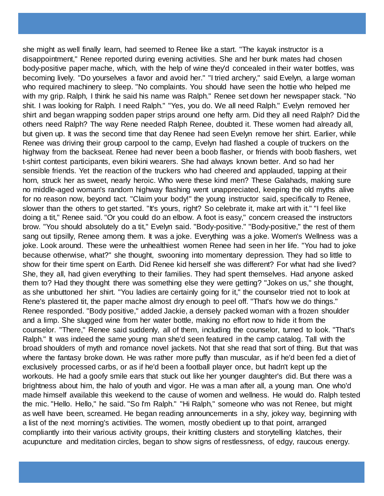she might as well finally learn, had seemed to Renee like a start. "The kayak instructor is a disappointment," Renee reported during evening activities. She and her bunk mates had chosen body-positive paper mache, which, with the help of wine they'd concealed in their water bottles, was becoming lively. "Do yourselves a favor and avoid her." "I tried archery," said Evelyn, a large woman who required machinery to sleep. "No complaints. You should have seen the hottie who helped me with my grip. Ralph, I think he said his name was Ralph." Renee set down her newspaper stack. "No shit. I was looking for Ralph. I need Ralph." "Yes, you do. We all need Ralph." Evelyn removed her shirt and began wrapping sodden paper strips around one hefty arm. Did they all need Ralph? Did the others need Ralph? The way Rene needed Ralph Renee, doubted it. These women had already all, but given up. It was the second time that day Renee had seen Evelyn remove her shirt. Earlier, while Renee was driving their group carpool to the camp, Evelyn had flashed a couple of truckers on the highway from the backseat. Renee had never been a boob flasher, or friends with boob flashers, wet t-shirt contest participants, even bikini wearers. She had always known better. And so had her sensible friends. Yet the reaction of the truckers who had cheered and applauded, tapping at their horn, struck her as sweet, nearly heroic. Who were these kind men? These Galahads, making sure no middle-aged woman's random highway flashing went unappreciated, keeping the old myths alive for no reason now, beyond tact. "Claim your body!" the young instructor said, specifically to Renee, slower than the others to get started. "It's yours, right? So celebrate it, make art with it." "I feel like doing a tit," Renee said. "Or you could do an elbow. A foot is easy," concern creased the instructors brow. "You should absolutely do a tit," Evelyn said. "Body-positive." "Body-positive," the rest of them sang out tipsilly, Renee among them. It was a joke. Everything was a joke. Women's Wellness was a joke. Look around. These were the unhealthiest women Renee had seen in her life. "You had to joke because otherwise, what?" she thought, swooning into momentary depression. They had so little to show for their time spent on Earth. Did Renee kid herself she was different? For what had she lived? She, they all, had given everything to their families. They had spent themselves. Had anyone asked them to? Had they thought there was something else they were getting? "Jokes on us," she thought, as she unbuttoned her shirt. "You ladies are certainly going for it," the counselor tried not to look at Rene's plastered tit, the paper mache almost dry enough to peel off. "That's how we do things." Renee responded. "Body positive," added Jackie, a densely packed woman with a frozen shoulder and a limp. She slugged wine from her water bottle, making no effort now to hide it from the counselor. "There," Renee said suddenly, all of them, including the counselor, turned to look. "That's Ralph." It was indeed the same young man she'd seen featured in the camp catalog. Tall with the broad shoulders of myth and romance novel jackets. Not that she read that sort of thing. But that was where the fantasy broke down. He was rather more puffy than muscular, as if he'd been fed a diet of exclusively processed carbs, or as if he'd been a football player once, but hadn't kept up the workouts. He had a goofy smile ears that stuck out like her younger daughter's did. But there was a brightness about him, the halo of youth and vigor. He was a man after all, a young man. One who'd made himself available this weekend to the cause of women and wellness. He would do. Ralph tested the mic. "Hello. Hello," he said. "So I'm Ralph." "Hi Ralph," someone who was not Renee, but might as well have been, screamed. He began reading announcements in a shy, jokey way, beginning with a list of the next morning's activities. The women, mostly obedient up to that point, arranged compliantly into their various activity groups, their knitting clusters and storytelling klatches, their acupuncture and meditation circles, began to show signs of restlessness, of edgy, raucous energy.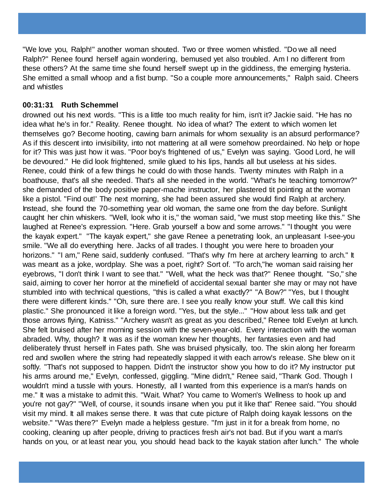"We love you, Ralph!" another woman shouted. Two or three women whistled. "Do we all need Ralph?" Renee found herself again wondering, bemused yet also troubled. Am I no different from these others? At the same time she found herself swept up in the giddiness, the emerging hysteria. She emitted a small whoop and a fist bump. "So a couple more announcements," Ralph said. Cheers and whistles

## **00:31:31 Ruth Schemmel**

drowned out his next words. "This is a little too much reality for him, isn't it? Jackie said. "He has no idea what he's in for." Reality. Renee thought. No idea of what? The extent to which women let themselves go? Become hooting, cawing barn animals for whom sexuality is an absurd performance? As if this descent into invisibility, into not mattering at all were somehow preordained. No help or hope for it? This was just how it was. "Poor boy's frightened of us," Evelyn was saying. 'Good Lord, he will be devoured." He did look frightened, smile glued to his lips, hands all but useless at his sides. Renee, could think of a few things he could do with those hands. Twenty minutes with Ralph in a boathouse, that's all she needed. That's all she needed in the world. "What's he teaching tomorrow?" she demanded of the body positive paper-mache instructor, her plastered tit pointing at the woman like a pistol. "Find out!' The next morning, she had been assured she would find Ralph at archery. Instead, she found the 70-something year old woman, the same one from the day before. Sunlight caught her chin whiskers. "Well, look who it is," the woman said, "we must stop meeting like this." She laughed at Renee's expression. "Here. Grab yourself a bow and some arrows." "I thought you were the kayak expert." "The kayak expert," she gave Renee a penetrating look, an unpleasant I-see-you smile. "We all do everything here. Jacks of all trades. I thought you were here to broaden your horizons." "I am," Rene said, suddenly confused. "That's why I'm here at archery learning to arch." It was meant as a joke, wordplay. She was a poet, right? Sort of. "To arch,"he woman said raising her eyebrows, "I don't think I want to see that." "Well, what the heck was that?" Renee thought. "So," she said, aiming to cover her horror at the minefield of accidental sexual banter she may or may not have stumbled into with technical questions, "this is called a what exactly?" "A Bow?" "Yes, but I thought there were different kinds." "Oh, sure there are. I see you really know your stuff. We call this kind plastic." She pronounced it like a foreign word. "Yes, but the style..." "How about less talk and get those arrows flying, Katniss." "Archery wasn't as great as you described," Renee told Evelyn at lunch. She felt bruised after her morning session with the seven-year-old. Every interaction with the woman abraded. Why, though? It was as if the woman knew her thoughts, her fantasies even and had deliberately thrust herself in Fates path. She was bruised physically, too. The skin along her forearm red and swollen where the string had repeatedly slapped it with each arrow's release. She blew on it softly. "That's not supposed to happen. Didn't the instructor show you how to do it? My instructor put his arms around me," Evelyn, confessed, giggling. "Mine didn't," Renee said, "Thank God. Though I wouldn't mind a tussle with yours. Honestly, all I wanted from this experience is a man's hands on me." It was a mistake to admit this. "Wait. What? You came to Women's Wellness to hook up and you're not gay?" "Well, of course, it sounds insane when you put it like that" Renee said. "You should visit my mind. It all makes sense there. It was that cute picture of Ralph doing kayak lessons on the website." "Was there?" Evelyn made a helpless gesture. "I'm just in it for a break from home, no cooking, cleaning up after people, driving to practices fresh air's not bad. But if you want a man's hands on you, or at least near you, you should head back to the kayak station after lunch." The whole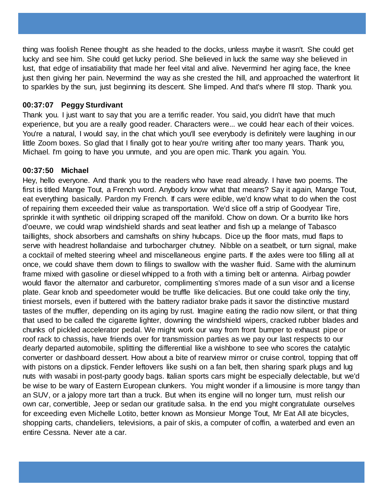thing was foolish Renee thought as she headed to the docks, unless maybe it wasn't. She could get lucky and see him. She could get lucky period. She believed in luck the same way she believed in lust, that edge of insatiability that made her feel vital and alive. Nevermind her aging face, the knee just then giving her pain. Nevermind the way as she crested the hill, and approached the waterfront lit to sparkles by the sun, just beginning its descent. She limped. And that's where I'll stop. Thank you.

## **00:37:07 Peggy Sturdivant**

Thank you. I just want to say that you are a terrific reader. You said, you didn't have that much experience, but you are a really good reader. Characters were... we could hear each of their voices. You're a natural, I would say, in the chat which you'll see everybody is definitely were laughing in our little Zoom boxes. So glad that I finally got to hear you're writing after too many years. Thank you, Michael. I'm going to have you unmute, and you are open mic. Thank you again. You.

## **00:37:50 Michael**

Hey, hello everyone. And thank you to the readers who have read already. I have two poems. The first is titled Mange Tout, a French word. Anybody know what that means? Say it again, Mange Tout, eat everything basically. Pardon my French. If cars were edible, we'd know what to do when the cost of repairing them exceeded their value as transportation. We'd slice off a strip of Goodyear Tire, sprinkle it with synthetic oil dripping scraped off the manifold. Chow on down. Or a burrito like hors d'oeuvre, we could wrap windshield shards and seat leather and fish up a melange of Tabasco taillights, shock absorbers and camshafts on shiny hubcaps. Dice up the floor mats, mud flaps to serve with headrest hollandaise and turbocharger chutney. Nibble on a seatbelt, or turn signal, make a cocktail of melted steering wheel and miscellaneous engine parts. If the axles were too filling all at once, we could shave them down to filings to swallow with the washer fluid. Same with the aluminum frame mixed with gasoline or diesel whipped to a froth with a timing belt or antenna. Airbag powder would flavor the alternator and carburetor, complimenting s'mores made of a sun visor and a license plate. Gear knob and speedometer would be truffle like delicacies. But one could take only the tiny, tiniest morsels, even if buttered with the battery radiator brake pads it savor the distinctive mustard tastes of the muffler, depending on its aging by rust. Imagine eating the radio now silent, or that thing that used to be called the cigarette lighter, downing the windshield wipers, cracked rubber blades and chunks of pickled accelerator pedal. We might work our way from front bumper to exhaust pipe or roof rack to chassis, have friends over for transmission parties as we pay our last respects to our dearly departed automobile, splitting the differential like a wishbone to see who scores the catalytic converter or dashboard dessert. How about a bite of rearview mirror or cruise control, topping that off with pistons on a dipstick. Fender leftovers like sushi on a fan belt, then sharing spark plugs and lug nuts with wasabi in post-party goody bags. Italian sports cars might be especially delectable, but we'd be wise to be wary of Eastern European clunkers. You might wonder if a limousine is more tangy than an SUV, or a jalopy more tart than a truck. But when its engine will no longer turn, must relish our own car, convertible, Jeep or sedan our gratitude salsa. In the end you might congratulate ourselves for exceeding even Michelle Lotito, better known as Monsieur Monge Tout, Mr Eat All ate bicycles, shopping carts, chandeliers, televisions, a pair of skis, a computer of coffin, a waterbed and even an entire Cessna. Never ate a car.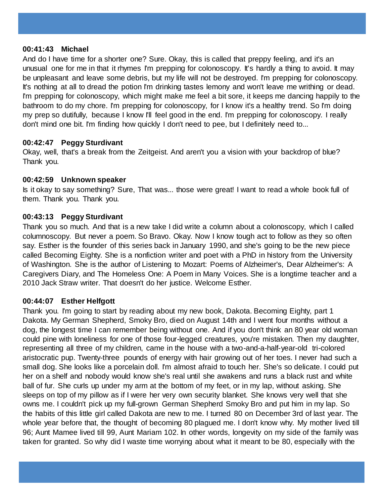#### **00:41:43 Michael**

And do I have time for a shorter one? Sure. Okay, this is called that preppy feeling, and it's an unusual one for me in that it rhymes I'm prepping for colonoscopy. It's hardly a thing to avoid. It may be unpleasant and leave some debris, but my life will not be destroyed. I'm prepping for colonoscopy. It's nothing at all to dread the potion I'm drinking tastes lemony and won't leave me writhing or dead. I'm prepping for colonoscopy, which might make me feel a bit sore, it keeps me dancing happily to the bathroom to do my chore. I'm prepping for colonoscopy, for I know it's a healthy trend. So I'm doing my prep so dutifully, because I know I'll feel good in the end. I'm prepping for colonoscopy. I really don't mind one bit. I'm finding how quickly I don't need to pee, but I definitely need to...

#### **00:42:47 Peggy Sturdivant**

Okay, well, that's a break from the Zeitgeist. And aren't you a vision with your backdrop of blue? Thank you.

## **00:42:59 Unknown speaker**

Is it okay to say something? Sure, That was... those were great! I want to read a whole book full of them. Thank you. Thank you.

## **00:43:13 Peggy Sturdivant**

Thank you so much. And that is a new take I did write a column about a colonoscopy, which I called columnoscopy. But never a poem. So Bravo. Okay. Now I know tough act to follow as they so often say. Esther is the founder of this series back in January 1990, and she's going to be the new piece called Becoming Eighty. She is a nonfiction writer and poet with a PhD in history from the University of Washington. She is the author of Listening to Mozart: Poems of Alzheimer's, Dear Alzheimer's: A Caregivers Diary, and The Homeless One: A Poem in Many Voices. She is a longtime teacher and a 2010 Jack Straw writer. That doesn't do her justice. Welcome Esther.

## **00:44:07 Esther Helfgott**

Thank you. I'm going to start by reading about my new book, Dakota. Becoming Eighty, part 1 Dakota. My German Shepherd, Smoky Bro, died on August 14th and I went four months without a dog, the longest time I can remember being without one. And if you don't think an 80 year old woman could pine with loneliness for one of those four-legged creatures, you're mistaken. Then my daughter, representing all three of my children, came in the house with a two-and-a-half-year-old tri-colored aristocratic pup. Twenty-three pounds of energy with hair growing out of her toes. I never had such a small dog. She looks like a porcelain doll. I'm almost afraid to touch her. She's so delicate. I could put her on a shelf and nobody would know she's real until she awakens and runs a black rust and white ball of fur. She curls up under my arm at the bottom of my feet, or in my lap, without asking. She sleeps on top of my pillow as if I were her very own security blanket. She knows very well that she owns me. I couldn't pick up my full-grown German Shepherd Smoky Bro and put him in my lap. So the habits of this little girl called Dakota are new to me. I turned 80 on December 3rd of last year. The whole year before that, the thought of becoming 80 plagued me. I don't know why. My mother lived till 96; Aunt Mamee lived till 99, Aunt Mariam 102. In other words, longevity on my side of the family was taken for granted. So why did I waste time worrying about what it meant to be 80, especially with the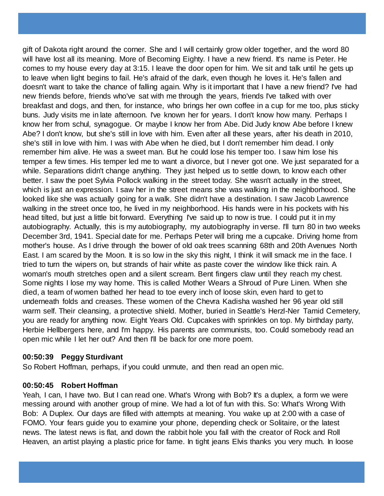gift of Dakota right around the corner. She and I will certainly grow older together, and the word 80 will have lost all its meaning. More of Becoming Eighty. I have a new friend. It's name is Peter. He comes to my house every day at 3:15. I leave the door open for him. We sit and talk until he gets up to leave when light begins to fail. He's afraid of the dark, even though he loves it. He's fallen and doesn't want to take the chance of falling again. Why is it important that I have a new friend? I've had new friends before, friends who've sat with me through the years, friends I've talked with over breakfast and dogs, and then, for instance, who brings her own coffee in a cup for me too, plus sticky buns. Judy visits me in late afternoon. I've known her for years. I don't know how many. Perhaps I know her from schul, synagogue. Or maybe I know her from Abe. Did Judy know Abe before I knew Abe? I don't know, but she's still in love with him. Even after all these years, after his death in 2010, she's still in love with him. I was with Abe when he died, but I don't remember him dead. I only remember him alive. He was a sweet man. But he could lose his temper too. I saw him lose his temper a few times. His temper led me to want a divorce, but I never got one. We just separated for a while. Separations didn't change anything. They just helped us to settle down, to know each other better. I saw the poet Sylvia Pollock walking in the street today. She wasn't actually in the street, which is just an expression. I saw her in the street means she was walking in the neighborhood. She looked like she was actually going for a walk. She didn't have a destination. I saw Jacob Lawrence walking in the street once too, he lived in my neighborhood. His hands were in his pockets with his head tilted, but just a little bit forward. Everything I've said up to now is true. I could put it in my autobiography. Actually, this is my autobiography, my autobiography in verse. I'll turn 80 in two weeks December 3rd, 1941. Special date for me. Perhaps Peter will bring me a cupcake. Driving home from mother's house. As I drive through the bower of old oak trees scanning 68th and 20th Avenues North East. I am scared by the Moon. It is so low in the sky this night, I think it will smack me in the face. I tried to turn the wipers on, but strands of hair white as paste cover the window like thick rain. A woman's mouth stretches open and a silent scream. Bent fingers claw until they reach my chest. Some nights I lose my way home. This is called Mother Wears a Shroud of Pure Linen. When she died, a team of women bathed her head to toe every inch of loose skin, even hard to get to underneath folds and creases. These women of the Chevra Kadisha washed her 96 year old still warm self. Their cleansing, a protective shield. Mother, buried in Seattle's Herzl-Ner Tamid Cemetery, you are ready for anything now. Eight Years Old. Cupcakes with sprinkles on top. My birthday party, Herbie Hellbergers here, and I'm happy. His parents are communists, too. Could somebody read an open mic while I let her out? And then I'll be back for one more poem.

#### **00:50:39 Peggy Sturdivant**

So Robert Hoffman, perhaps, if you could unmute, and then read an open mic.

#### **00:50:45 Robert Hoffman**

Yeah, I can, I have two. But I can read one. What's Wrong with Bob? It's a duplex, a form we were messing around with another group of mine. We had a lot of fun with this. So: What's Wrong With Bob: A Duplex. Our days are filled with attempts at meaning. You wake up at 2:00 with a case of FOMO. Your fears guide you to examine your phone, depending check or Solitaire, or the latest news. The latest news is flat, and down the rabbit hole you fall with the creator of Rock and Roll Heaven, an artist playing a plastic price for fame. In tight jeans Elvis thanks you very much. In loose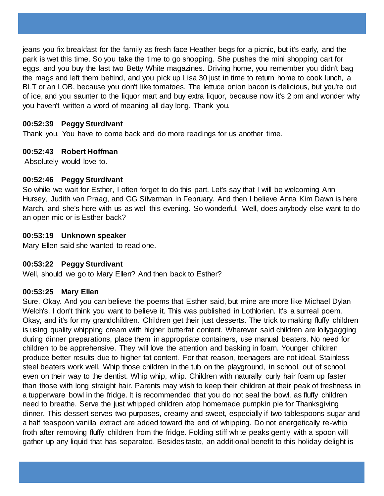jeans you fix breakfast for the family as fresh face Heather begs for a picnic, but it's early, and the park is wet this time. So you take the time to go shopping. She pushes the mini shopping cart for eggs, and you buy the last two Betty White magazines. Driving home, you remember you didn't bag the mags and left them behind, and you pick up Lisa 30 just in time to return home to cook lunch, a BLT or an LOB, because you don't like tomatoes. The lettuce onion bacon is delicious, but you're out of ice, and you saunter to the liquor mart and buy extra liquor, because now it's 2 pm and wonder why you haven't written a word of meaning all day long. Thank you.

## **00:52:39 Peggy Sturdivant**

Thank you. You have to come back and do more readings for us another time.

## **00:52:43 Robert Hoffman**

Absolutely would love to.

# **00:52:46 Peggy Sturdivant**

So while we wait for Esther, I often forget to do this part. Let's say that I will be welcoming Ann Hursey, Judith van Praag, and GG Silverman in February. And then I believe Anna Kim Dawn is here March, and she's here with us as well this evening. So wonderful. Well, does anybody else want to do an open mic or is Esther back?

# **00:53:19 Unknown speaker**

Mary Ellen said she wanted to read one.

# **00:53:22 Peggy Sturdivant**

Well, should we go to Mary Ellen? And then back to Esther?

# **00:53:25 Mary Ellen**

Sure. Okay. And you can believe the poems that Esther said, but mine are more like Michael Dylan Welch's. I don't think you want to believe it. This was published in Lothlorien. It's a surreal poem. Okay, and it's for my grandchildren. Children get their just desserts. The trick to making fluffy children is using quality whipping cream with higher butterfat content. Wherever said children are lollygagging during dinner preparations, place them in appropriate containers, use manual beaters. No need for children to be apprehensive. They will love the attention and basking in foam. Younger children produce better results due to higher fat content. For that reason, teenagers are not ideal. Stainless steel beaters work well. Whip those children in the tub on the playground, in school, out of school, even on their way to the dentist. Whip whip, whip. Children with naturally curly hair foam up faster than those with long straight hair. Parents may wish to keep their children at their peak of freshness in a tupperware bowl in the fridge. It is recommended that you do not seal the bowl, as fluffy children need to breathe. Serve the just whipped children atop homemade pumpkin pie for Thanksgiving dinner. This dessert serves two purposes, creamy and sweet, especially if two tablespoons sugar and a half teaspoon vanilla extract are added toward the end of whipping. Do not energetically re-whip froth after removing fluffy children from the fridge. Folding stiff white peaks gently with a spoon will gather up any liquid that has separated. Besides taste, an additional benefit to this holiday delight is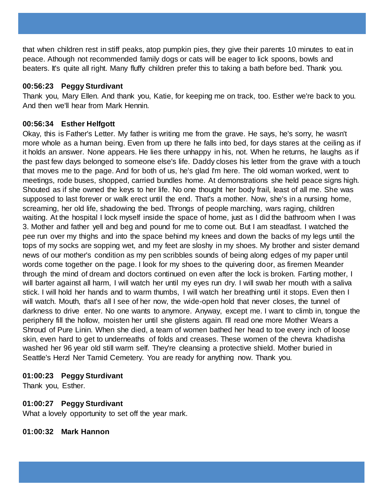that when children rest in stiff peaks, atop pumpkin pies, they give their parents 10 minutes to eat in peace. Athough not recommended family dogs or cats will be eager to lick spoons, bowls and beaters. It's quite all right. Many fluffy children prefer this to taking a bath before bed. Thank you.

## **00:56:23 Peggy Sturdivant**

Thank you, Mary Ellen. And thank you, Katie, for keeping me on track, too. Esther we're back to you. And then we'll hear from Mark Hennin.

# **00:56:34 Esther Helfgott**

Okay, this is Father's Letter. My father is writing me from the grave. He says, he's sorry, he wasn't more whole as a human being. Even from up there he falls into bed, for days stares at the ceiling as if it holds an answer. None appears. He lies there unhappy in his, not. When he returns, he laughs as if the past few days belonged to someone else's life. Daddy closes his letter from the grave with a touch that moves me to the page. And for both of us, he's glad I'm here. The old woman worked, went to meetings, rode buses, shopped, carried bundles home. At demonstrations she held peace signs high. Shouted as if she owned the keys to her life. No one thought her body frail, least of all me. She was supposed to last forever or walk erect until the end. That's a mother. Now, she's in a nursing home, screaming, her old life, shadowing the bed. Throngs of people marching, wars raging, children waiting. At the hospital I lock myself inside the space of home, just as I did the bathroom when I was 3. Mother and father yell and beg and pound for me to come out. But I am steadfast. I watched the pee run over my thighs and into the space behind my knees and down the backs of my legs until the tops of my socks are sopping wet, and my feet are sloshy in my shoes. My brother and sister demand news of our mother's condition as my pen scribbles sounds of being along edges of my paper until words come together on the page. I look for my shoes to the quivering door, as firemen Meander through the mind of dream and doctors continued on even after the lock is broken. Farting mother, I will barter against all harm, I will watch her until my eyes run dry. I will swab her mouth with a saliva stick. I will hold her hands and to warm thumbs, I will watch her breathing until it stops. Even then I will watch. Mouth, that's all I see of her now, the wide-open hold that never closes, the tunnel of darkness to drive enter. No one wants to anymore. Anyway, except me. I want to climb in, tongue the periphery fill the hollow, moisten her until she glistens again. I'll read one more Mother Wears a Shroud of Pure Linin. When she died, a team of women bathed her head to toe every inch of loose skin, even hard to get to underneaths of folds and creases. These women of the chevra khadisha washed her 96 year old still warm self. They're cleansing a protective shield. Mother buried in Seattle's Herzl Ner Tamid Cemetery. You are ready for anything now. Thank you.

# **01:00:23 Peggy Sturdivant**

Thank you, Esther.

# **01:00:27 Peggy Sturdivant**

What a lovely opportunity to set off the year mark.

**01:00:32 Mark Hannon**